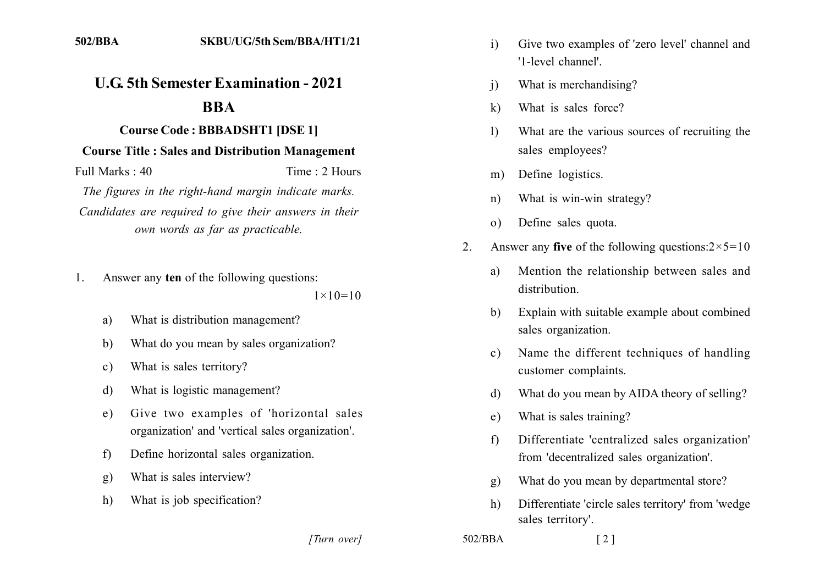## **U.G. 5th Semester Examination - 2021**

## **1211**

## **Course Code: BBBADSHT1 [DSE 1]**

## **Course Title: Sales and Distribution Management**

Full Marks: 40 Time: 2 Hours

*The figures in the right-hand margin indicate marks.* Candidates are required to give their answers in their *own words as far as practicable.* 

1. Answer any ten of the following questions:

 $1 \times 10 = 10$ 

- a) What is distribution management?
- b) What do you mean by sales organization?
- c) What is sales territory?
- d) What is logistic management?
- e) Give two examples of 'horizontal sales organization' and 'vertical sales organization'.
- f) Define horizontal sales organization.
- g) What is sales interview?
- h) What is job specification?

*]]]]]] ]]]]]*

- i) Give two examples of 'zero level' channel and '1-level channel'
- i) What is merchandising?
- k) What is sales force?
- 1) What are the various sources of recruiting the sales employees?
- m) Define logistics.
- n) What is win-win strategy?
- o) Define sales quota.
- 2. Answer any **five** of the following questions: $2 \times 5 = 10$ 
	- a) Mention the relationship between sales and distribution.
	- b) Explain with suitable example about combined sales organization.
	- c) Name the different techniques of handling customer complaints.
	- d) What do you mean by AIDA theory of selling?
	- e) What is sales training?
	- f) Differentiate 'centralized sales organization' from 'decentralized sales organization'.
	- g) What do you mean by departmental store?
	- h) Differentiate 'circle sales territory' from 'wedge sales territory'.

```
502/BBA [2]
```